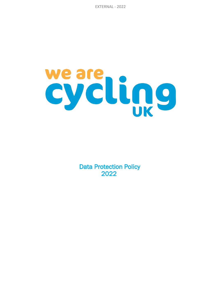EXTERNAL - 2022

# weare<br>cycling

 Data Protection Policy 2022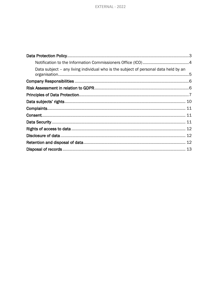| Data subject – any living individual who is the subject of personal data held by an |  |
|-------------------------------------------------------------------------------------|--|
|                                                                                     |  |
|                                                                                     |  |
|                                                                                     |  |
|                                                                                     |  |
|                                                                                     |  |
|                                                                                     |  |
|                                                                                     |  |
|                                                                                     |  |
|                                                                                     |  |
|                                                                                     |  |
|                                                                                     |  |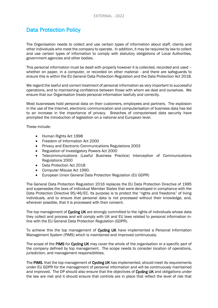# Data Protection Policy

The Organisation needs to collect and use certain types of information about staff, clients and other individuals who meet the company to operate. In addition, it may be required by law to collect and use certain types of information to comply with statutory obligations of Local Authorities, government agencies and other bodies.

This personal information must be dealt with properly however it is collected, recorded and used – whether on paper, in a computer, or recorded on other material - and there are safeguards to ensure this is within the EU General Data Protection Regulation and the Data Protection Act 2018.

We regard the lawful and correct treatment of personal information as very important to successful operations, and to maintaining confidence between those with whom we deal and ourselves. We ensure that our Organisation treats personal information lawfully and correctly.

Most businesses hold personal data on their customers, employees and partners. The explosion in the use of the Internet, electronic communication and computerisation of business data has led to an increase in the importance of privacy. Breaches of computerised data security have prompted the introduction of legislation on a national and European level.

These include:

- Human Rights Act 1998
- Freedom of Information Act 2000
- Privacy and Electronic Communications Regulations 2003
- Regulation of Investigatory Powers Act 2000
- Telecommunications (Lawful Business Practice) Interception of Communications Regulations 2000
- Data Protection Act 2018
- Computer Misuse Act 1990.
- European Union General Data Protection Regulation (EU GDPR)

The General Data Protection Regulation 2016 replaces the EU Data Protection Directive of 1995 and supersedes the laws of individual Member States that were developed in compliance with the Data Protection Directive 95/46/EC. Its purpose is to protect the "rights and freedoms" of living individuals, and to ensure that personal data is not processed without their knowledge, and, wherever possible, that it is processed with their consent.

The top management of Cycling UK are strongly committed to the rights of individuals whose data they collect and process and will comply with UK and EU laws related to personal information inline with the EU General Data Protection Regulation (GDPR).

To achieve this the top management of Cycling UK have implemented a Personal Information Management System (PIMS) which is maintained and improved continuously.

The scope of the PIMS for Cycling UK may cover the whole of the organisation or a specific part of the company defined by top management. The scope needs to consider location of operations, jurisdiction, and management responsibilities.

The PIMS, that the top management of Cycling UK has implemented, should meet its requirements under EU GDPR for the management of personal information and will be continuously maintained and improved. The DP should also ensure that the objectives of Cycling UK and obligations under the law are met and it should ensure that controls are in place that reflect the level of risk that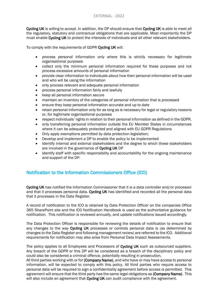Cycling UK is willing to accept. In addition, the DP should ensure that Cycling UK is able to meet all the regulatory, statutory and contractual obligations that are applicable. Most importantly the DP must enable Cycling UK to protect the interests of individuals and all other relevant stakeholders.

To comply with the requirements of GDPR Cycling UK will:

- process personal information only where this is strictly necessary for legitimate organisational purposes
- collect only the minimum personal information required for these purposes and not process excessive amounts of personal information
- provide clear information to individuals about how their personal information will be used and who will be using the information
- only process relevant and adequate personal information
- process personal information fairly and lawfully
- keep all personal information secure
- maintain an inventory of the categories of personal information that is processed
- ensure they keep personal information accurate and up to date
- retain personal information only for as long as is necessary for legal or regulatory reasons or, for legitimate organisational purposes
- respect individuals' rights in relation to their personal information as defined in the GDPR.
- only transferring personal information outside the EU Member States in circumstances where it can be adequately protected and aligned with EU GDPR Regulations
- Only apply exemptions permitted by data protection legislation;
- Develop and implement a DP to enable the policy to be implemented
- Identify internal and external stakeholders and the degree to which these stakeholders are involved in the governance of Cycling UK DP
- Identify staff with specific responsibility and accountability for the ongoing maintenance and support of the DP.

# Notification to the Information Commissioners Office (ICO)

Cycling UK has notified the Information Commissioner that it is a data controller and/or processor and that it processes personal data. Cycling UK has identified and recorded all the personal data that it processes in the Data Register.

A record of notification to the ICO is retained by Data Protection Officer on the companies Office 365 SharePoint site and the ICO Notification Handbook is used as the authoritative guidance for notification. This notification is reviewed annually, and update notifications issued accordingly.

The Data Protection Officer is responsible for reviewing the details of notification to ensure that any changes to the way Cycling UK processes or controls personal data is (as determined by changes to the Data Register and following management review) are referred to the ICO. Additional requirements for notification may also arise from Personal Data Impact Assessments.

The policy applies to all Employees and Processors of Cycling UK such as outsourced suppliers. Any breach of the GDPR or this DP will be considered as a breach of the disciplinary policy and could also be considered a criminal offence, potentially resulting in prosecution.

All third parties working with or for (Company Name), and who have or may have access to personal information, will be expected to comply with this policy. All third parties who require access to personal data will be required to sign a confidentiality agreement before access is permitted. This agreement will ensure that the third party has the same legal obligations as (Company Name). This will also include an agreement that Cycling UK can audit compliance with the agreement.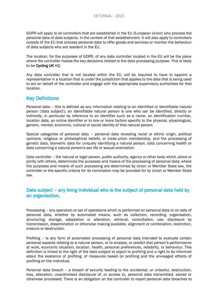GDPR will apply to all controllers that are established in the EU (European Union) who process the personal data of data subjects, in the context of that establishment. It will also apply to controllers outside of the EU that process personal data to offer goods and services or monitor the behaviour of data subjects who are resident in the EU.

The location, for the purposes of GDPR, of any data controller located in the EU will be the place where the controller makes the key decisions related to the data processing purpose. This is likely to be Cycling UK HQ.

Any data controller that is not located within the EU, will be required to have to appoint a representative in a location that is under the jurisdiction that applies to the data that is being used to act on behalf of the controller and engage with the appropriate supervisory authorities for that location.

# Key Definitions

Personal data – this is defined as any information relating to an identified or identifiable natural person ('data subject'); an identifiable natural person is one who can be identified, directly or indirectly, in particular by reference to an identifier such as a name, an identification number, location data, an online identifier or to one or more factors specific to the physical, physiological, genetic, mental, economic, cultural or social identity of that natural person.

Special categories of personal data – personal data revealing racial or ethnic origin, political opinions, religious or philosophical beliefs, or trade-union membership, and the processing of genetic data, biometric data for uniquely identifying a natural person, data concerning health or data concerning a natural person's sex life or sexual orientation.

Data controller – the natural or legal person, public authority, agency or other body which, alone or jointly with others, determines the purposes and means of the processing of personal data; where the purposes and means of such processing are determined by Union or Member State law, the controller or the specific criteria for its nomination may be provided for by Union or Member State law.

# Data subject – any living individual who is the subject of personal data held by an organisation.

Processing – any operation or set of operations which is performed on personal data or on sets of personal data, whether by automated means, such as collection, recording, organisation, structuring, storage, adaptation or alteration, retrieval, consultation, use, disclosure by transmission, dissemination or otherwise making available, alignment or combination, restriction, erasure or destruction.

Profiling – is any form of automated processing of personal data intended to evaluate certain personal aspects relating to a natural person, or to analyse, or predict that person's performance at work, economic situation, location, health, personal preferences, reliability, or behaviour. This definition is linked to the right of the data subject to object to profiling and a right to be informed about the existence of profiling, of measures based on profiling and the envisaged effects of profiling on the individual.

Personal data breach – a breach of security leading to the accidental, or unlawful, destruction, loss, alteration, unauthorised disclosure of, or access to, personal data transmitted, stored or otherwise processed. There is an obligation on the controller to report personal data breaches to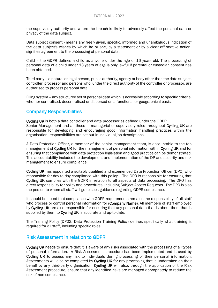the supervisory authority and where the breach is likely to adversely affect the personal data or privacy of the data subject.

Data subject consent - means any freely given, specific, informed and unambiguous indication of the data subject's wishes by which he or she, by a statement or by a clear affirmative action, signifies agreement to the processing of personal data.

Child – the GDPR defines a child as anyone under the age of 16 years old. The processing of personal data of a child under 13 years of age is only lawful if parental or custodian consent has been obtained.

Third party – a natural or legal person, public authority, agency or body other than the data subject, controller, processor and persons who, under the direct authority of the controller or processor, are authorised to process personal data.

Filing system – any structured set of personal data which is accessible according to specific criteria, whether centralised, decentralised or dispersed on a functional or geographical basis.

# Company Responsibilities

Cycling UK is both a data controller and data processor as defined under the GDPR. Senior Management and all those in managerial or supervisory roles throughout Cycling UK are responsible for developing and encouraging good information handling practices within the organisation; responsibilities are set out in individual job descriptions.

A Data Protection Officer, a member of the senior management team, is accountable to the top management of Cycling UK for the management of personal information within Cycling UK and for ensuring that compliance with data protection legislation and good practice can be demonstrated. This accountability includes the development and implementation of the DP and security and risk management to ensure compliance.

Cycling UK has appointed a suitably qualified and experienced Data Protection Officer (DPO) who responsible for day to day compliance with this policy. The DPO is responsible for ensuring that Cycling UK complies with the GDPR in relation to all aspects of data processing. The DPO has direct responsibility for policy and procedures, including Subject Access Requests. The DPO is also the person to whom all staff will go to seek guidance regarding GDPR compliance.

It should be noted that compliance with GDPR requirements remains the responsibility of all staff who process or control personal information for (Company Name). All members of staff employed by Cycling UK are also responsible for ensuring that any personal data that is about them that is supplied by them to Cycling UK is accurate and up-to-date.

The Training Policy (DP02. Data Protection Training Policy) defines specifically what training is required for all staff, including specific roles.

### Risk Assessment in relation to GDPR

Cycling UK needs to ensure that it is aware of any risks associated with the processing of all types of personal information. A Risk Assessment procedure has been implemented and is used by Cycling UK to assess any risk to individuals during processing of their personal information. Assessments will also be completed by Cycling UK for any processing that is undertaken on their behalf by any third-party organisation. Cycling UK will also, through the application of the Risk Assessment procedure, ensure that any identified risks are managed appropriately to reduce the risk of non-compliance.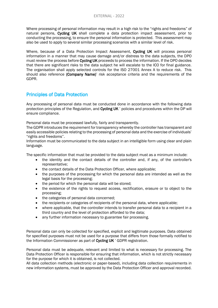Where processing of personal information may result in a high risk to the "rights and freedoms" of natural persons, Cycling UK shall complete a data protection impact assessment, prior to conducting the processing, to ensure the personal information is protected. This assessment may also be used to apply to several similar processing scenarios with a similar level of risk.

Where, because of a Data Protection Impact Assessment, Cycling UK will process personal information in a manner that may cause damage and/or distress to the data subjects, the DPO must review the process before **Cycling UK** proceeds to process the information. If the DPO decides that there are significant risks to the data subject he will escalate to the ICO for final guidance. The organisation shall apply selected controls for the ISO 27001 Annex A to reduce risk. This should also reference (Company Name)' risk acceptance criteria and the requirements of the GDPR.

# Principles of Data Protection

Any processing of personal data must be conducted done in accordance with the following data protection principles of the Regulation, and Cycling UK ' policies and procedures within the DP will ensure compliance.

Personal data must be processed lawfully, fairly and transparently.

The GDPR introduces the requirement for transparency whereby the controller has transparent and easily accessible policies relating to the processing of personal data and the exercise of individuals' "rights and freedoms".

Information must be communicated to the data subject in an intelligible form using clear and plain language.

The specific information that must be provided to the data subject must as a minimum include:

- the identity and the contact details of the controller and, if any, of the controller's representative;
- the contact details of the Data Protection Officer, where applicable;
- the purposes of the processing for which the personal data are intended as well as the legal basis for the processing;
- the period for which the personal data will be stored;
- the existence of the rights to request access, rectification, erasure or to object to the processing;
- the categories of personal data concerned;
- the recipients or categories of recipients of the personal data, where applicable;
- where applicable, that the controller intends to transfer personal data to a recipient in a third country and the level of protection afforded to the data;
- any further information necessary to guarantee fair processing.

Personal data can only be collected for specified, explicit and legitimate purposes. Data obtained for specified purposes must not be used for a purpose that differs from those formally notified to the Information Commissioner as part of Cycling UK ' GDPR registration.

Personal data must be adequate, relevant and limited to what is necessary for processing. The Data Protection Officer is responsible for ensuring that information, which is not strictly necessary for the purpose for which it is obtained, is not collected.

All data collection methods (electronic or paper-based), including data collection requirements in new information systems, must be approved by the Data Protection Officer and approval recorded.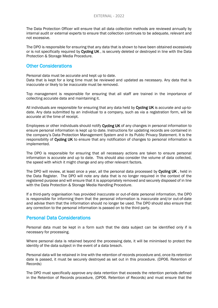The Data Protection Officer will ensure that all data collection methods are reviewed annually by internal audit or external experts to ensure that collection continues to be adequate, relevant and not excessive.

The DPO is responsible for ensuring that any data that is shown to have been obtained excessively or is not specifically required by Cycling UK, is securely deleted or destroyed in line with the Data Protection & Storage Media Procedure.

# Other Considerations

Personal data must be accurate and kept up to date.

Data that is kept for a long time must be reviewed and updated as necessary. Any data that is inaccurate or likely to be inaccurate must be removed.

Top management is responsible for ensuring that all staff are trained in the importance of collecting accurate data and maintaining it.

All individuals are responsible for ensuring that any data held by Cycling UK is accurate and up-todate. Any data submitted by an individual to a company, such as via a registration form, will be accurate at the time of receipt.

Employees or other individuals should notify Cycling UK of any changes in personal information to ensure personal information is kept up to date. Instructions for updating records are contained in the company's Data Protection Management System and in its Public Privacy Statement. It is the responsibility of Cycling UK to ensure that any notification of changes to personal information is implemented.

The DPO is responsible for ensuring that all necessary actions are taken to ensure personal information is accurate and up to date. This should also consider the volume of data collected, the speed with which it might change and any other relevant factors.

The DPO will review, at least once a year, all the personal data processed by Cycling UK, held in the Data Register. The DPO will note any data that is no longer required in the context of the registered purpose and will ensure that it is appropriately removed and securely disposed of in line with the Data Protection & Storage Media Handling Procedure.

If a third-party organisation has provided inaccurate or out-of-date personal information, the DPO is responsible for informing them that the personal information is inaccurate and/or out-of-date and advise them that the information should no longer be used. The DPO should also ensure that any correction to the personal information is passed on to the third party.

### Personal Data Considerations

Personal data must be kept in a form such that the data subject can be identified only if is necessary for processing.

Where personal data is retained beyond the processing date, it will be minimised to protect the identity of the data subject in the event of a data breach.

Personal data will be retained in line with the retention of records procedure and, once its retention date is passed, it must be securely destroyed as set out in this procedure. (DP06. Retention of Records)

The DPO must specifically approve any data retention that exceeds the retention periods defined in the Retention of Records procedure, (DP06. Retention of Records) and must ensure that the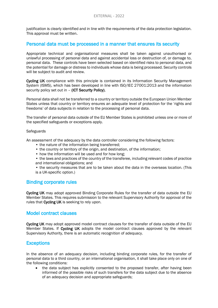justification is clearly identified and in line with the requirements of the data protection legislation. This approval must be written.

### Personal data must be processed in a manner that ensures its security

Appropriate technical and organisational measures shall be taken against unauthorised or unlawful processing of personal data and against accidental loss or destruction of, or damage to, personal data. These controls have been selected based on identified risks to personal data, and the potential for damage or distress to individuals whose data is being processed. Security controls will be subject to audit and review.

Cycling UK compliance with this principle is contained in its Information Security Management System (ISMS), which has been developed in line with ISO/IEC 27001:2013 and the information security policy set out in - (ICT Security Policy).

Personal data shall not be transferred to a country or territory outside the European Union Member States unless that country or territory ensures an adequate level of protection for the 'rights and freedoms' of data subjects in relation to the processing of personal data.

The transfer of personal data outside of the EU Member States is prohibited unless one or more of the specified safeguards or exceptions apply.

### **Safeguards**

An assessment of the adequacy by the data controller considering the following factors:

- the nature of the information being transferred:
- the country or territory of the origin, and destination, of the information;
- how the information will be used and for how long;
- the laws and practices of the country of the transferee, including relevant codes of practice and international obligations; and

• the security measures that are to be taken about the data in the overseas location. (This is a UK-specific option.)

### Binding corporate rules

Cycling UK may adopt approved Binding Corporate Rules for the transfer of data outside the EU Member States. This requires submission to the relevant Supervisory Authority for approval of the rules that Cycling UK is seeking to rely upon.

### Model contract clauses

Cycling UK may adopt approved model contract clauses for the transfer of data outside of the EU Member States. If Cycling UK adopts the model contract clauses approved by the relevant Supervisory Authority, there is an automatic recognition of adequacy.

### **Exceptions**

In the absence of an adequacy decision, including binding corporate rules, for the transfer of personal data to a third country, or an international organisation, it shall take place only on one of the following conditions:

• the data subject has explicitly consented to the proposed transfer, after having been informed of the possible risks of such transfers for the data subject due to the absence of an adequacy decision and appropriate safeguards;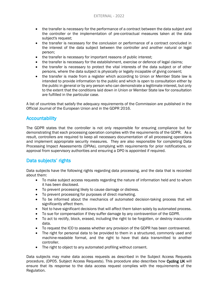- the transfer is necessary for the performance of a contract between the data subject and the controller or the implementation of pre-contractual measures taken at the data subject's request;
- the transfer is necessary for the conclusion or performance of a contract concluded in the interest of the data subject between the controller and another natural or legal person;
- the transfer is necessary for important reasons of public interest;
- the transfer is necessary for the establishment, exercise or defence of legal claims;
- the transfer is necessary to protect the vital interests of the data subject or of other persons, where the data subject is physically or legally incapable of giving consent;
- the transfer is made from a register which according to Union or Member State law is intended to provide information to the public and which is open to consultation either by the public in general or by any person who can demonstrate a legitimate interest, but only to the extent that the conditions laid down in Union or Member State law for consultation are fulfilled in the particular case.

A list of countries that satisfy the adequacy requirements of the Commission are published in the Official Journal of the European Union and in the GDPR 2016.

# **Accountability**

The GDPR states that the controller is not only responsible for ensuring compliance but for demonstrating that each processing operation complies with the requirements of the GDPR. As a result, controllers are required to keep all necessary documentation of all processing operations and implement appropriate security measures. They are also responsible for completing Data Processing Impact Assessments (DPIAs), complying with requirements for prior notifications, or approval from supervisory authorities and ensuring a DPO is appointed if required.

# Data subjects' rights

Data subjects have the following rights regarding data processing, and the data that is recorded about them:

- To make subject access requests regarding the nature of information held and to whom it has been disclosed.
- To prevent processing likely to cause damage or distress.
- To prevent processing for purposes of direct marketing.
- To be informed about the mechanics of automated decision-taking process that will significantly affect them.
- Not to have significant decisions that will affect them taken solely by automated process.
- To sue for compensation if they suffer damage by any contravention of the GDPR.
- To act to rectify, block, erased, including the right to be forgotten, or destroy inaccurate data.
- To request the ICO to assess whether any provision of the GDPR has been contravened.
- The right for personal data to be provided to them in a structured, commonly used and machine-readable format, and the right to have that data transmitted to another controller.
- The right to object to any automated profiling without consent.

Data subjects may make data access requests as described in the Subject Access Requests procedure, (DP05. Subject Access Requests). This procedure also describes how Cycling UK will ensure that its response to the data access request complies with the requirements of the Regulation.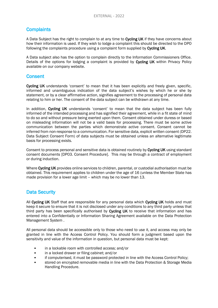# **Complaints**

A Data Subject has the right to complain to at any time to **Cycling UK** if they have concerns about how their information is used. If they wish to lodge a complaint this should be directed to the DPO following the complaints procedure using a complaint form supplied by Cycling UK.

A Data subject also has the option to complain directly to the Information Commissioners Office. Details of the options for lodging a complaint is provided by Cycling UK within Privacy Policy available on our company website.

### **Consent**

Cycling UK understands 'consent' to mean that it has been explicitly and freely given, specific, informed and unambiguous indication of the data subject's wishes by which he or she by statement, or by a clear affirmative action, signifies agreement to the processing of personal data relating to him or her. The consent of the data subject can be withdrawn at any time.

In addition, Cycling UK understands 'consent' to mean that the data subject has been fully informed of the intended processing and has signified their agreement, while in a fit state of mind to do so and without pressure being exerted upon them. Consent obtained under duress or based on misleading information will not be a valid basis for processing. There must be some active communication between the parties which demonstrate active consent. Consent cannot be inferred from non-response to a communication. For sensitive data, explicit written consent (DP22. Data Subject Consent Form) of data subjects must be obtained unless an alternative legitimate basis for processing exists.

Consent to process personal and sensitive data is obtained routinely by Cycling UK using standard consent documents [DP03. Consent Procedure]. This may be through a contract of employment or during induction.

Where Cycling UK provides online services to children, parental, or custodial authorisation must be obtained. This requirement applies to children under the age of 16 (unless the Member State has made provision for a lower age limit – which may be no lower than 13.

# Data Security

All Cycling UK Staff that are responsible for any personal data which Cycling UK holds and must keep it secure to ensure that it is not disclosed under any conditions to any third party unless that third party has been specifically authorised by Cycling UK to receive that information and has entered into a Confidentially or Information Sharing Agreement available on the Data Protection Management System .

All personal data should be accessible only to those who need to use it, and access may only be granted in line with the Access Control Policy. You should form a judgment based upon the sensitivity and value of the information in question, but personal data must be kept:

- in a lockable room with controlled access; and/or
- in a locked drawer or filing cabinet; and/or
- if computerised, it must be password protected in line with the Access Control Policy;
- stored on encrypted removable media in line with the Data Protection & Storage Media Handling Procedure.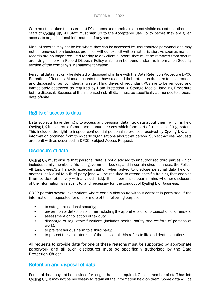Care must be taken to ensure that PC screens and terminals are not visible except to authorised Staff of Cycling UK. All Staff must sign up to the Acceptable Use Policy before they are given access to organisational information of any sort.

Manual records may not be left where they can be accessed by unauthorised personnel and may not be removed from business premises without explicit written authorisation. As soon as manual records are no longer required for day-to-day client support, they must be removed from secure archiving in line with Record Disposal Policy which can be found under the Information Security section of the company's Management System.

Personal data may only be deleted or disposed of in line with the Data Retention Procedure DP06 Retention of Records. Manual records that have reached their retention date are to be shredded and disposed of as 'confidential waste'. Hard drives of redundant PCs are to be removed and immediately destroyed as required by Data Protection & Storage Media Handling Procedure before disposal. Because of the increased risk all Staff must be specifically authorised to process data off-site.

# Rights of access to data

Data subjects have the right to access any personal data (i.e. data about them) which is held Cycling UK in electronic format and manual records which form part of a relevant filing system. This includes the right to inspect confidential personal references received by Cycling UK, and information obtained from third-party organisations about that person. Subject Access Requests are dealt with as described in DP05. Subject Access Request.

### Disclosure of data

Cycling UK must ensure that personal data is not disclosed to unauthorised third parties which includes family members, friends, government bodies, and in certain circumstances, the Police. All Employees/Staff should exercise caution when asked to disclose personal data held on another individual to a third party [and will be required to attend specific training that enables them to deal effectively with any such risk]. It is important to bear in mind whether disclosure of the information is relevant to, and necessary for, the conduct of Cycling UK ' business.

GDPR permits several exemptions where certain disclosure without consent is permitted, if the information is requested for one or more of the following purposes:

- to safeguard national security;
- prevention or detection of crime including the apprehension or prosecution of offenders;
- assessment or collection of tax duty;
- discharge of regulatory functions (includes health, safety and welfare of persons at work);
- to prevent serious harm to a third party;
- to protect the vital interests of the individual, this refers to life and death situations.

All requests to provide data for one of these reasons must be supported by appropriate paperwork and all such disclosures must be specifically authorised by the Data Protection Officer.

### Retention and disposal of data

Personal data may not be retained for longer than it is required. Once a member of staff has left Cycling UK, it may not be necessary to retain all the information held on them. Some data will be